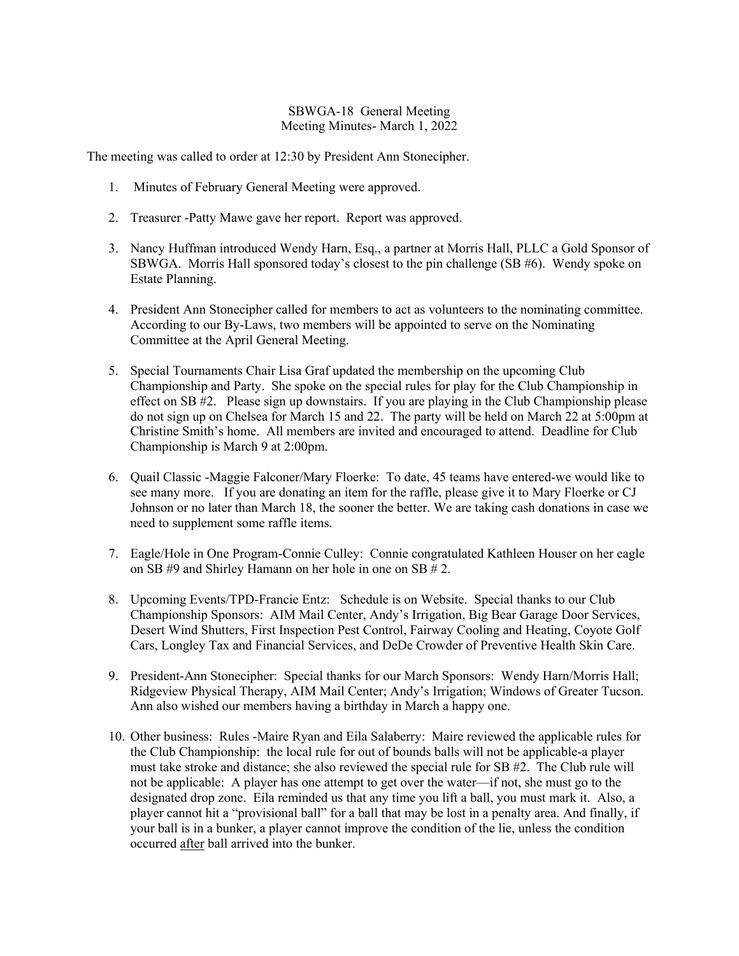## SBWGA-18 General Meeting Meeting Minutes- March 1, 2022

The meeting was called to order at 12:30 by President Ann Stonecipher.

- 1. Minutes of February General Meeting were approved.
- 2. Treasurer -Patty Mawe gave her report. Report was approved.
- 3. Nancy Huffman introduced Wendy Harn, Esq., a partner at Morris Hall, PLLC a Gold Sponsor of SBWGA. Morris Hall sponsored today's closest to the pin challenge (SB #6). Wendy spoke on Estate Planning.
- 4. President Ann Stonecipher called for members to act as volunteers to the nominating committee. According to our By-Laws, two members will be appointed to serve on the Nominating Committee at the April General Meeting.
- 5. Special Tournaments Chair Lisa Graf updated the membership on the upcoming Club Championship and Party. She spoke on the special rules for play for the Club Championship in effect on SB #2. Please sign up downstairs. If you are playing in the Club Championship please do not sign up on Chelsea for March 15 and 22. The party will be held on March 22 at 5:00pm at Christine Smith's home. All members are invited and encouraged to attend. Deadline for Club Championship is March 9 at 2:00pm.
- 6. Quail Classic -Maggie Falconer/Mary Floerke: To date, 45 teams have entered-we would like to see many more. If you are donating an item for the raffle, please give it to Mary Floerke or CJ Johnson or no later than March 18, the sooner the better. We are taking cash donations in case we need to supplement some raffle items.
- 7. Eagle/Hole in One Program-Connie Culley: Connie congratulated Kathleen Houser on her eagle on SB #9 and Shirley Hamann on her hole in one on SB # 2.
- 8. Upcoming Events/TPD-Francie Entz: Schedule is on Website. Special thanks to our Club Championship Sponsors: AIM Mail Center, Andy's Irrigation, Big Bear Garage Door Services, Desert Wind Shutters, First Inspection Pest Control, Fairway Cooling and Heating, Coyote Golf Cars, Longley Tax and Financial Services, and DeDe Crowder of Preventive Health Skin Care.
- 9. President-Ann Stonecipher: Special thanks for our March Sponsors: Wendy Harn/Morris Hall; Ridgeview Physical Therapy, AIM Mail Center; Andy's Irrigation; Windows of Greater Tucson. Ann also wished our members having a birthday in March a happy one.
- 10. Other business: Rules -Maire Ryan and Eila Salaberry: Maire reviewed the applicable rules for the Club Championship: the local rule for out of bounds balls will not be applicable-a player must take stroke and distance; she also reviewed the special rule for SB #2. The Club rule will not be applicable: A player has one attempt to get over the water—if not, she must go to the designated drop zone. Eila reminded us that any time you lift a ball, you must mark it. Also, a player cannot hit a "provisional ball" for a ball that may be lost in a penalty area. And finally, if your ball is in a bunker, a player cannot improve the condition of the lie, unless the condition occurred after ball arrived into the bunker.